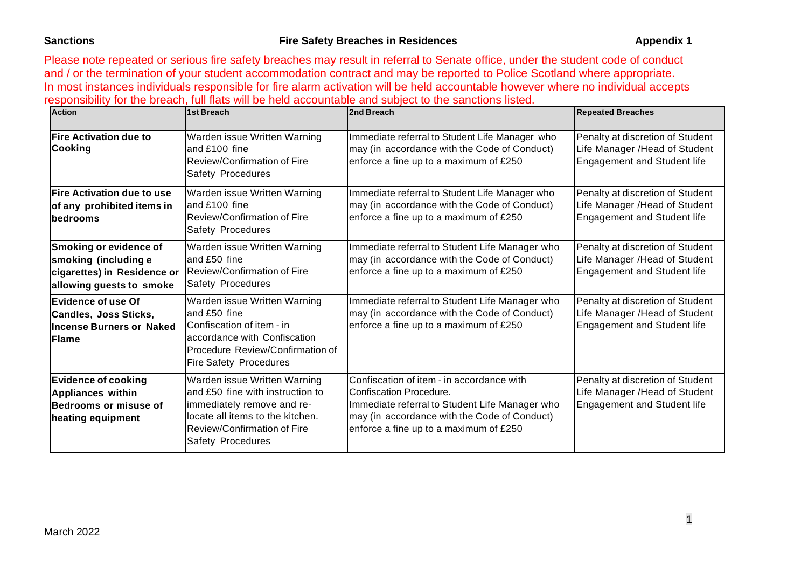Please note repeated or serious fire safety breaches may result in referral to Senate office, under the student code of conduct and / or the termination of your student accommodation contract and may be reported to Police Scotland where appropriate. In most instances individuals responsible for fire alarm activation will be held accountable however where no individual accepts responsibility for the breach, full flats will be held accountable and subject to the sanctions listed.

| <b>Action</b>                                                                                                    | 1st Breach                                                                                                                                                                                    | 2nd Breach                                                                                                                                                                                                       | <b>Repeated Breaches</b>                                                                                 |
|------------------------------------------------------------------------------------------------------------------|-----------------------------------------------------------------------------------------------------------------------------------------------------------------------------------------------|------------------------------------------------------------------------------------------------------------------------------------------------------------------------------------------------------------------|----------------------------------------------------------------------------------------------------------|
| <b>Fire Activation due to</b><br><b>Cooking</b>                                                                  | Warden issue Written Warning<br>and £100 fine<br>Review/Confirmation of Fire<br>Safety Procedures                                                                                             | Immediate referral to Student Life Manager who<br>may (in accordance with the Code of Conduct)<br>enforce a fine up to a maximum of £250                                                                         | Penalty at discretion of Student<br>Life Manager / Head of Student<br><b>Engagement and Student life</b> |
| <b>Fire Activation due to use</b><br>of any prohibited items in<br>bedrooms                                      | Warden issue Written Warning<br>and £100 fine<br>Review/Confirmation of Fire<br><b>Safety Procedures</b>                                                                                      | Immediate referral to Student Life Manager who<br>may (in accordance with the Code of Conduct)<br>enforce a fine up to a maximum of £250                                                                         | Penalty at discretion of Student<br>Life Manager /Head of Student<br><b>Engagement and Student life</b>  |
| <b>Smoking or evidence of</b><br>smoking (including e<br>cigarettes) in Residence or<br>allowing guests to smoke | Warden issue Written Warning<br>and £50 fine<br>Review/Confirmation of Fire<br><b>Safety Procedures</b>                                                                                       | Immediate referral to Student Life Manager who<br>may (in accordance with the Code of Conduct)<br>enforce a fine up to a maximum of £250                                                                         | Penalty at discretion of Student<br>Life Manager /Head of Student<br><b>Engagement and Student life</b>  |
| <b>Evidence of use Of</b><br><b>Candles, Joss Sticks,</b><br><b>Incense Burners or Naked</b><br>lFlame           | Warden issue Written Warning<br>and £50 fine<br>Confiscation of item - in<br>accordance with Confiscation<br>Procedure Review/Confirmation of<br><b>Fire Safety Procedures</b>                | Immediate referral to Student Life Manager who<br>may (in accordance with the Code of Conduct)<br>enforce a fine up to a maximum of £250                                                                         | Penalty at discretion of Student<br>Life Manager / Head of Student<br><b>Engagement and Student life</b> |
| <b>Evidence of cooking</b><br><b>Appliances within</b><br>Bedrooms or misuse of<br>heating equipment             | Warden issue Written Warning<br>and £50 fine with instruction to<br>immediately remove and re-<br>locate all items to the kitchen.<br>Review/Confirmation of Fire<br><b>Safety Procedures</b> | Confiscation of item - in accordance with<br>Confiscation Procedure.<br>Immediate referral to Student Life Manager who<br>may (in accordance with the Code of Conduct)<br>enforce a fine up to a maximum of £250 | Penalty at discretion of Student<br>Life Manager / Head of Student<br><b>Engagement and Student life</b> |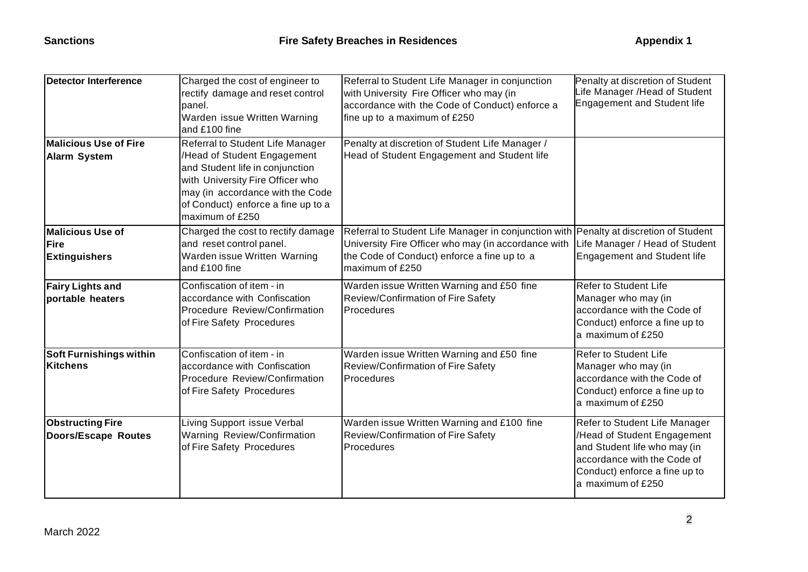| <b>Detector Interference</b>                        | Charged the cost of engineer to<br>rectify damage and reset control<br>panel.<br>Warden issue Written Warning<br>and £100 fine                                                                                                      | Referral to Student Life Manager in conjunction<br>with University Fire Officer who may (in<br>accordance with the Code of Conduct) enforce a<br>fine up to a maximum of £250                                  | Penalty at discretion of Student<br>lfe Manager /Head of Student<br>Engagement and Student life                                                                                   |
|-----------------------------------------------------|-------------------------------------------------------------------------------------------------------------------------------------------------------------------------------------------------------------------------------------|----------------------------------------------------------------------------------------------------------------------------------------------------------------------------------------------------------------|-----------------------------------------------------------------------------------------------------------------------------------------------------------------------------------|
| <b>Malicious Use of Fire</b><br><b>Alarm System</b> | Referral to Student Life Manager<br>/Head of Student Engagement<br>and Student life in conjunction<br>with University Fire Officer who<br>may (in accordance with the Code<br>of Conduct) enforce a fine up to a<br>maximum of £250 | Penalty at discretion of Student Life Manager /<br>Head of Student Engagement and Student life                                                                                                                 |                                                                                                                                                                                   |
| Malicious Use of<br>Fire<br><b>Extinguishers</b>    | Charged the cost to rectify damage<br>and reset control panel.<br>Warden issue Written Warning<br>and £100 fine                                                                                                                     | Referral to Student Life Manager in conjunction with Penalty at discretion of Student<br>University Fire Officer who may (in accordance with<br>the Code of Conduct) enforce a fine up to a<br>maximum of £250 | Life Manager / Head of Student<br><b>Engagement and Student life</b>                                                                                                              |
| <b>Fairy Lights and</b><br>portable heaters         | Confiscation of item - in<br>accordance with Confiscation<br>Procedure Review/Confirmation<br>of Fire Safety Procedures                                                                                                             | Warden issue Written Warning and £50 fine<br>Review/Confirmation of Fire Safety<br>Procedures                                                                                                                  | <b>Refer to Student Life</b><br>Manager who may (in<br>accordance with the Code of<br>Conduct) enforce a fine up to<br>a maximum of £250                                          |
| <b>Soft Furnishings within</b><br><b>Kitchens</b>   | Confiscation of item - in<br>accordance with Confiscation<br>Procedure Review/Confirmation<br>of Fire Safety Procedures                                                                                                             | Warden issue Written Warning and £50 fine<br>Review/Confirmation of Fire Safety<br><b>Procedures</b>                                                                                                           | Refer to Student Life<br>Manager who may (in<br>accordance with the Code of<br>Conduct) enforce a fine up to<br>a maximum of £250                                                 |
| <b>Obstructing Fire</b><br>Doors/Escape Routes      | Living Support issue Verbal<br>Warning Review/Confirmation<br>of Fire Safety Procedures                                                                                                                                             | Warden issue Written Warning and £100 fine<br>Review/Confirmation of Fire Safety<br>Procedures                                                                                                                 | Refer to Student Life Manager<br>/Head of Student Engagement<br>and Student life who may (in<br>accordance with the Code of<br>Conduct) enforce a fine up to<br>a maximum of £250 |